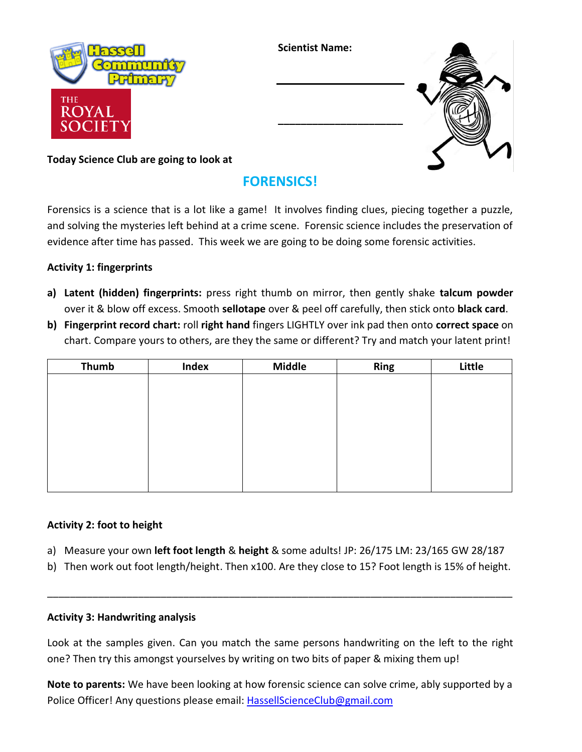

**Scientist Name:**

**\_\_\_\_\_\_\_\_\_\_\_\_\_\_\_\_\_\_\_\_\_\_**



## **Today Science Club are going to look at**

# **FORENSICS!**

Forensics is a science that is a lot like a game! It involves finding clues, piecing together a puzzle, and solving the mysteries left behind at a crime scene. Forensic science includes the preservation of evidence after time has passed. This week we are going to be doing some forensic activities.

### **Activity 1: fingerprints**

- **a) Latent (hidden) fingerprints:** press right thumb on mirror, then gently shake **talcum powder** over it & blow off excess. Smooth **sellotape** over & peel off carefully, then stick onto **black card**.
- **b) Fingerprint record chart:** roll **right hand** fingers LIGHTLY over ink pad then onto **correct space** on chart. Compare yours to others, are they the same or different? Try and match your latent print!

| <b>Thumb</b> | Index | <b>Middle</b> | Ring | Little |
|--------------|-------|---------------|------|--------|
|              |       |               |      |        |
|              |       |               |      |        |
|              |       |               |      |        |
|              |       |               |      |        |
|              |       |               |      |        |
|              |       |               |      |        |
|              |       |               |      |        |
|              |       |               |      |        |

### **Activity 2: foot to height**

- a) Measure your own **left foot length** & **height** & some adults! JP: 26/175 LM: 23/165 GW 28/187
- b) Then work out foot length/height. Then x100. Are they close to 15? Foot length is 15% of height.

\_\_\_\_\_\_\_\_\_\_\_\_\_\_\_\_\_\_\_\_\_\_\_\_\_\_\_\_\_\_\_\_\_\_\_\_\_\_\_\_\_\_\_\_\_\_\_\_\_\_\_\_\_\_\_\_\_\_\_\_\_\_\_\_\_\_\_\_\_\_\_\_\_\_\_\_\_\_\_\_\_\_

#### **Activity 3: Handwriting analysis**

Look at the samples given. Can you match the same persons handwriting on the left to the right one? Then try this amongst yourselves by writing on two bits of paper & mixing them up!

**Note to parents:** We have been looking at how forensic science can solve crime, ably supported by a Police Officer! Any questions please email[: HassellScienceClub@gmail.com](mailto:HassellScienceClub@gmail.com)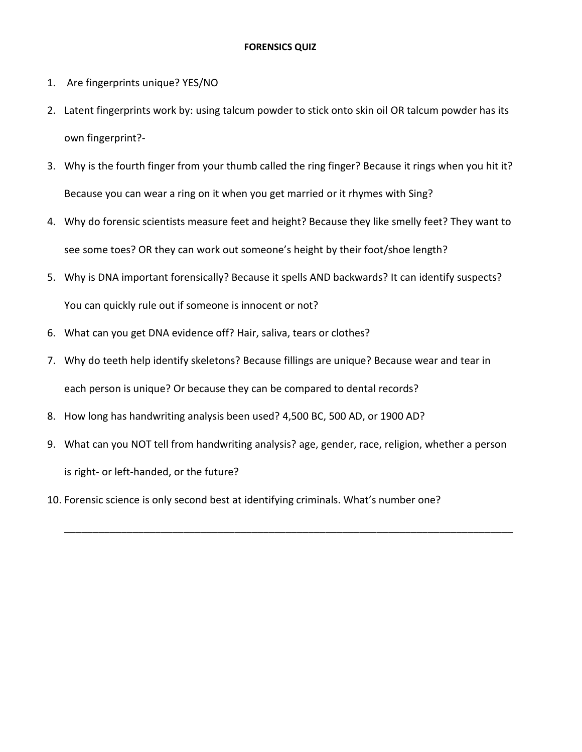#### **FORENSICS QUIZ**

- 1. Are fingerprints unique? YES/NO
- 2. Latent fingerprints work by: using talcum powder to stick onto skin oil OR talcum powder has its own fingerprint?-
- 3. Why is the fourth finger from your thumb called the ring finger? Because it rings when you hit it? Because you can wear a ring on it when you get married or it rhymes with Sing?
- 4. Why do forensic scientists measure feet and height? Because they like smelly feet? They want to see some toes? OR they can work out someone's height by their foot/shoe length?
- 5. Why is DNA important forensically? Because it spells AND backwards? It can identify suspects? You can quickly rule out if someone is innocent or not?
- 6. What can you get DNA evidence off? Hair, saliva, tears or clothes?
- 7. Why do teeth help identify skeletons? Because fillings are unique? Because wear and tear in each person is unique? Or because they can be compared to dental records?
- 8. How long has handwriting analysis been used? 4,500 BC, 500 AD, or 1900 AD?
- 9. What can you NOT tell from handwriting analysis? age, gender, race, religion, whether a person is right- or left-handed, or the future?

\_\_\_\_\_\_\_\_\_\_\_\_\_\_\_\_\_\_\_\_\_\_\_\_\_\_\_\_\_\_\_\_\_\_\_\_\_\_\_\_\_\_\_\_\_\_\_\_\_\_\_\_\_\_\_\_\_\_\_\_\_\_\_\_\_\_\_\_\_\_\_\_\_\_\_\_\_\_\_

10. Forensic science is only second best at identifying criminals. What's number one?